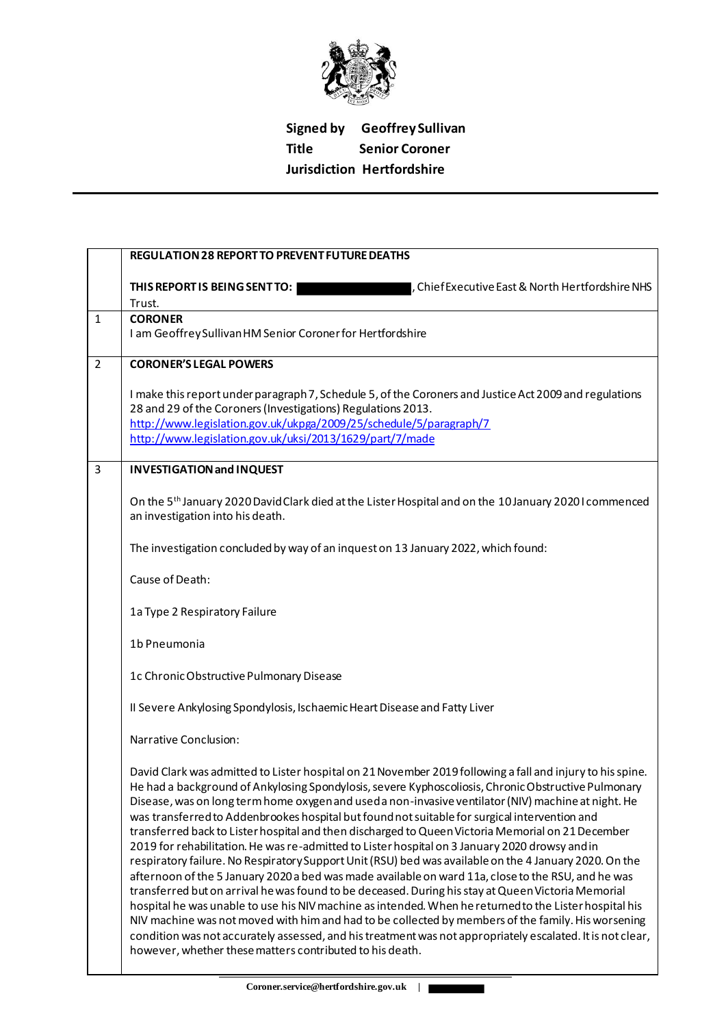

## **Signed by Geoffrey Sullivan Title Senior Coroner Jurisdiction Hertfordshire**

|                | <b>REGULATION 28 REPORT TO PREVENT FUTURE DEATHS</b>                                                               |
|----------------|--------------------------------------------------------------------------------------------------------------------|
|                |                                                                                                                    |
|                | , Chief Executive East & North Hertfordshire NHS<br>THIS REPORT IS BEING SENT TO:                                  |
|                | Trust.                                                                                                             |
| 1              | <b>CORONER</b>                                                                                                     |
|                | I am Geoffrey Sullivan HM Senior Coroner for Hertfordshire                                                         |
| $\overline{2}$ | <b>CORONER'S LEGAL POWERS</b>                                                                                      |
|                |                                                                                                                    |
|                | I make this report under paragraph 7, Schedule 5, of the Coroners and Justice Act 2009 and regulations             |
|                | 28 and 29 of the Coroners (Investigations) Regulations 2013.                                                       |
|                | http://www.legislation.gov.uk/ukpga/2009/25/schedule/5/paragraph/7                                                 |
|                | http://www.legislation.gov.uk/uksi/2013/1629/part/7/made                                                           |
|                |                                                                                                                    |
| 3              | <b>INVESTIGATION and INQUEST</b>                                                                                   |
|                |                                                                                                                    |
|                | On the 5 <sup>th</sup> January 2020 David Clark died at the Lister Hospital and on the 10 January 2020 I commenced |
|                | an investigation into his death.                                                                                   |
|                |                                                                                                                    |
|                | The investigation concluded by way of an inquest on 13 January 2022, which found:                                  |
|                |                                                                                                                    |
|                | Cause of Death:                                                                                                    |
|                |                                                                                                                    |
|                | 1a Type 2 Respiratory Failure                                                                                      |
|                |                                                                                                                    |
|                | 1b Pneumonia                                                                                                       |
|                |                                                                                                                    |
|                | 1c Chronic Obstructive Pulmonary Disease                                                                           |
|                |                                                                                                                    |
|                | II Severe Ankylosing Spondylosis, Ischaemic Heart Disease and Fatty Liver                                          |
|                |                                                                                                                    |
|                | Narrative Conclusion:                                                                                              |
|                |                                                                                                                    |
|                | David Clark was admitted to Lister hospital on 21 November 2019 following a fall and injury to his spine.          |
|                | He had a background of Ankylosing Spondylosis, severe Kyphoscoliosis, Chronic Obstructive Pulmonary                |
|                | Disease, was on long term home oxygen and used a non-invasive ventilator (NIV) machine at night. He                |
|                | was transferred to Addenbrookes hospital but found not suitable for surgical intervention and                      |
|                | transferred back to Lister hospital and then discharged to Queen Victoria Memorial on 21 December                  |
|                | 2019 for rehabilitation. He was re-admitted to Lister hospital on 3 January 2020 drowsy and in                     |
|                | respiratory failure. No Respiratory Support Unit (RSU) bed was available on the 4 January 2020. On the             |
|                | afternoon of the 5 January 2020 a bed was made available on ward 11a, close to the RSU, and he was                 |
|                | transferred but on arrival he was found to be deceased. During his stay at Queen Victoria Memorial                 |
|                | hospital he was unable to use his NIV machine as intended. When he returned to the Lister hospital his             |
|                | NIV machine was not moved with him and had to be collected by members of the family. His worsening                 |
|                | condition was not accurately assessed, and his treatment was not appropriately escalated. It is not clear,         |
|                | however, whether these matters contributed to his death.                                                           |
|                |                                                                                                                    |

ī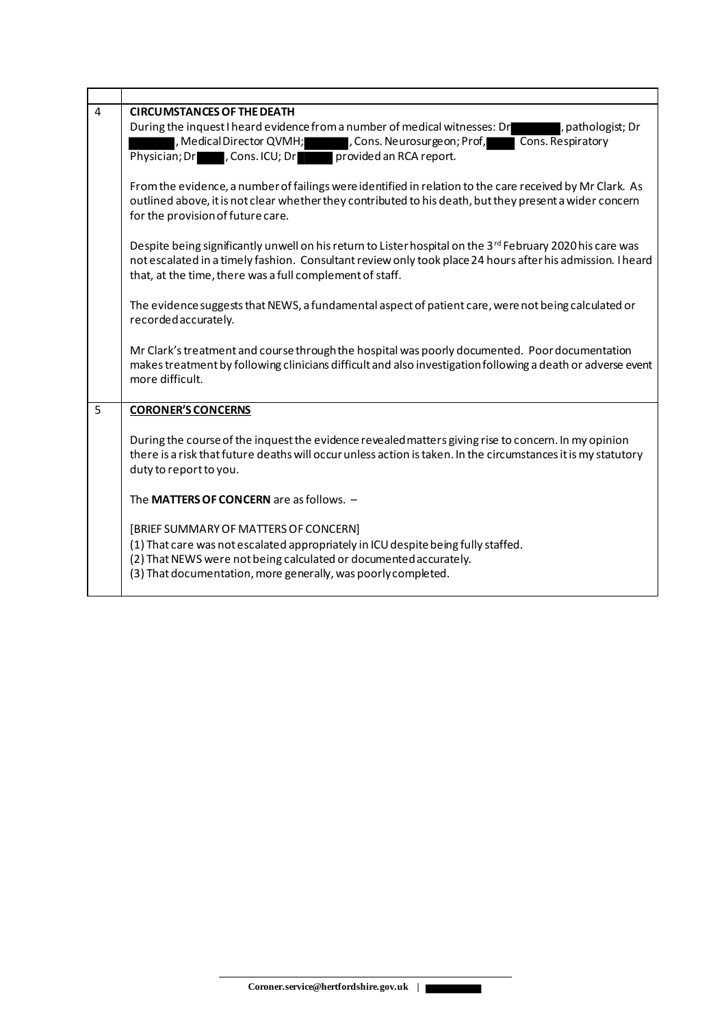| $\overline{4}$ | <b>CIRCUMSTANCES OF THE DEATH</b><br>During the inquest I heard evidence from a number of medical witnesses: Dr<br>, pathologist; Dr<br>, Medical Director QVMH; July 2005. Neurosurgeon; Prof,<br>Cons. Respiratory<br>Physician; Dr , Cons. ICU; Dr<br>provided an RCA report.    |
|----------------|-------------------------------------------------------------------------------------------------------------------------------------------------------------------------------------------------------------------------------------------------------------------------------------|
|                | From the evidence, a number of failings were identified in relation to the care received by Mr Clark. As<br>outlined above, it is not clear whether they contributed to his death, but they present a wider concern<br>for the provision of future care.                            |
|                | Despite being significantly unwell on his return to Lister hospital on the 3rd February 2020 his care was<br>not escalated in a timely fashion. Consultant review only took place 24 hours after his admission. I heard<br>that, at the time, there was a full complement of staff. |
|                | The evidence suggests that NEWS, a fundamental aspect of patient care, were not being calculated or<br>recorded accurately.                                                                                                                                                         |
|                | Mr Clark's treatment and course through the hospital was poorly documented. Poor documentation<br>makes treatment by following clinicians difficult and also investigation following a death or adverse event<br>more difficult.                                                    |
| 5              | <b>CORONER'S CONCERNS</b>                                                                                                                                                                                                                                                           |
|                | During the course of the inquest the evidence revealed matters giving rise to concern. In my opinion<br>there is a risk that future deaths will occur unless action is taken. In the circumstances it is my statutory<br>duty to report to you.                                     |
|                | The MATTERS OF CONCERN are as follows. -                                                                                                                                                                                                                                            |
|                | [BRIEF SUMMARY OF MATTERS OF CONCERN]<br>(1) That care was not escalated appropriately in ICU despite being fully staffed.<br>(2) That NEWS were not being calculated or documented accurately.<br>(3) That documentation, more generally, was poorly completed.                    |